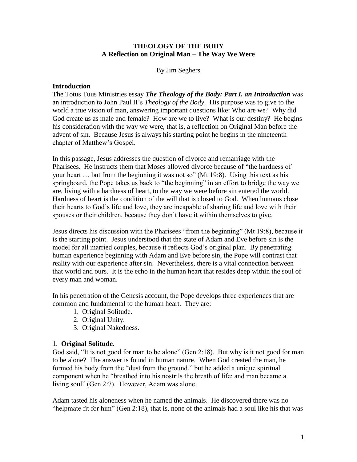### **THEOLOGY OF THE BODY A Reflection on Original Man – The Way We Were**

By Jim Seghers

#### **Introduction**

The Totus Tuus Ministries essay *The Theology of the Body: Part I, an Introduction* was an introduction to John Paul II's *Theology of the Body*. His purpose was to give to the world a true vision of man, answering important questions like: Who are we? Why did God create us as male and female? How are we to live? What is our destiny? He begins his consideration with the way we were, that is, a reflection on Original Man before the advent of sin. Because Jesus is always his starting point he begins in the nineteenth chapter of Matthew's Gospel.

In this passage, Jesus addresses the question of divorce and remarriage with the Pharisees. He instructs them that Moses allowed divorce because of "the hardness of your heart … but from the beginning it was not so" (Mt 19:8). Using this text as his springboard, the Pope takes us back to "the beginning" in an effort to bridge the way we are, living with a hardness of heart, to the way we were before sin entered the world. Hardness of heart is the condition of the will that is closed to God. When humans close their hearts to God's life and love, they are incapable of sharing life and love with their spouses or their children, because they don't have it within themselves to give.

Jesus directs his discussion with the Pharisees "from the beginning" (Mt 19:8), because it is the starting point. Jesus understood that the state of Adam and Eve before sin is the model for all married couples, because it reflects God's original plan. By penetrating human experience beginning with Adam and Eve before sin, the Pope will contrast that reality with our experience after sin. Nevertheless, there is a vital connection between that world and ours. It is the echo in the human heart that resides deep within the soul of every man and woman.

In his penetration of the Genesis account, the Pope develops three experiences that are common and fundamental to the human heart. They are:

- 1. Original Solitude.
- 2. Original Unity.
- 3. Original Nakedness.

#### 1. **Original Solitude**.

God said, "It is not good for man to be alone" (Gen 2:18). But why is it not good for man to be alone? The answer is found in human nature. When God created the man, he formed his body from the "dust from the ground," but he added a unique spiritual component when he "breathed into his nostrils the breath of life; and man became a living soul" (Gen 2:7). However, Adam was alone.

Adam tasted his aloneness when he named the animals. He discovered there was no "helpmate fit for him" (Gen 2:18), that is, none of the animals had a soul like his that was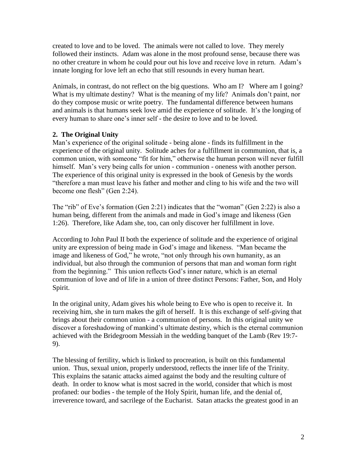created to love and to be loved. The animals were not called to love. They merely followed their instincts. Adam was alone in the most profound sense, because there was no other creature in whom he could pour out his love and receive love in return. Adam's innate longing for love left an echo that still resounds in every human heart.

Animals, in contrast, do not reflect on the big questions. Who am I? Where am I going? What is my ultimate destiny? What is the meaning of my life? Animals don't paint, nor do they compose music or write poetry. The fundamental difference between humans and animals is that humans seek love amid the experience of solitude. It's the longing of every human to share one's inner self - the desire to love and to be loved.

# **2. The Original Unity**

Man's experience of the original solitude - being alone - finds its fulfillment in the experience of the original unity. Solitude aches for a fulfillment in communion, that is, a common union, with someone "fit for him," otherwise the human person will never fulfill himself. Man's very being calls for union - communion - oneness with another person. The experience of this original unity is expressed in the book of Genesis by the words "therefore a man must leave his father and mother and cling to his wife and the two will become one flesh" (Gen 2:24).

The "rib" of Eve's formation (Gen 2:21) indicates that the "woman" (Gen 2:22) is also a human being, different from the animals and made in God's image and likeness (Gen 1:26). Therefore, like Adam she, too, can only discover her fulfillment in love.

According to John Paul II both the experience of solitude and the experience of original unity are expression of being made in God's image and likeness. "Man became the image and likeness of God," he wrote, "not only through his own humanity, as an individual, but also through the communion of persons that man and woman form right from the beginning." This union reflects God's inner nature, which is an eternal communion of love and of life in a union of three distinct Persons: Father, Son, and Holy Spirit.

In the original unity, Adam gives his whole being to Eve who is open to receive it. In receiving him, she in turn makes the gift of herself. It is this exchange of self-giving that brings about their common union - a communion of persons. In this original unity we discover a foreshadowing of mankind's ultimate destiny, which is the eternal communion achieved with the Bridegroom Messiah in the wedding banquet of the Lamb (Rev 19:7- 9).

The blessing of fertility, which is linked to procreation, is built on this fundamental union. Thus, sexual union, properly understood, reflects the inner life of the Trinity. This explains the satanic attacks aimed against the body and the resulting culture of death. In order to know what is most sacred in the world, consider that which is most profaned: our bodies - the temple of the Holy Spirit, human life, and the denial of, irreverence toward, and sacrilege of the Eucharist. Satan attacks the greatest good in an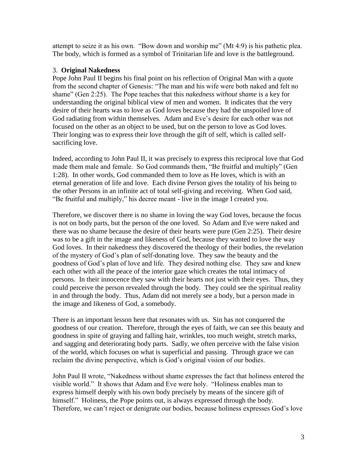attempt to seize it as his own. "Bow down and worship me" (Mt 4:9) is his pathetic plea. The body, which is formed as a symbol of Trinitarian life and love is the battleground.

## 3. **Original Nakedness**

Pope John Paul II begins his final point on his reflection of Original Man with a quote from the second chapter of Genesis: "The man and his wife were both naked and felt no shame" (Gen 2:25). The Pope teaches that this *nakedness without shame* is a key for understanding the original biblical view of men and women. It indicates that the very desire of their hearts was to love as God loves because they had the unspoiled love of God radiating from within themselves. Adam and Eve's desire for each other was not focused on the other as an object to be used, but on the person to love as God loves. Their longing was to express their love through the gift of self, which is called selfsacrificing love.

Indeed, according to John Paul II, it was precisely to express this reciprocal love that God made them male and female. So God commands them, "Be fruitful and multiply" (Gen 1:28). In other words, God commanded them to love as He loves, which is with an eternal generation of life and love. Each divine Person gives the totality of his being to the other Persons in an infinite act of total self-giving and receiving. When God said, "Be fruitful and multiply," his decree meant - live in the image I created you.

Therefore, we discover there is no shame in loving the way God loves, because the focus is not on body parts, but the person of the one loved. So Adam and Eve were naked and there was no shame because the desire of their hearts were pure (Gen 2:25). Their desire was to be a gift in the image and likeness of God, because they wanted to love the way God loves. In their nakedness they discovered the theology of their bodies, the revelation of the mystery of God's plan of self-donating love. They saw the beauty and the goodness of God's plan of love and life. They desired nothing else. They saw and knew each other with all the peace of the interior gaze which creates the total intimacy of persons. In their innocence they saw with their hearts not just with their eyes. Thus, they could perceive the person revealed through the body. They could see the spiritual reality in and through the body. Thus, Adam did not merely see a body, but a person made in the image and likeness of God, a somebody.

There is an important lesson here that resonates with us. Sin has not conquered the goodness of our creation. Therefore, through the eyes of faith, we can see this beauty and goodness in spite of graying and falling hair, wrinkles, too much weight, stretch marks, and sagging and deteriorating body parts. Sadly, we often perceive with the false vision of the world, which focuses on what is superficial and passing. Through grace we can reclaim the divine perspective, which is God's original vision of our bodies.

John Paul II wrote, "Nakedness without shame expresses the fact that holiness entered the visible world." It shows that Adam and Eve were holy. "Holiness enables man to express himself deeply with his own body precisely by means of the sincere gift of himself." Holiness, the Pope points out, is always expressed through the body. Therefore, we can't reject or denigrate our bodies, because holiness expresses God's love